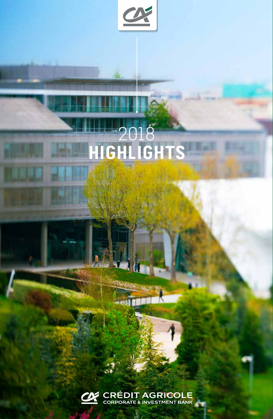

# 2018 **HIGHLIGHTS**



a)

--- 1988

K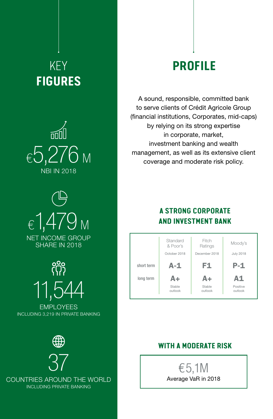# KEY **FIGURES**





<u>ကို</u> 11,544

EMPLOYEES INCLUDING 3,219 IN PRIVATE BANKING



37 COUNTRIES AROUND THE WORLD INCLUDING PRIVATE BANKING

# **PROFILE**

A sound, responsible, committed bank to serve clients of Crédit Agricole Group (financial institutions, Corporates, mid-caps) by relying on its strong expertise in corporate, market, investment banking and wealth management, as well as its extensive client coverage and moderate risk policy.

### **A STRONG CORPORATE AND INVESTMENT BANK**

|            | Standard<br>& Poor's<br>October 2018 | Fitch<br>Ratings<br>December 2018 | Moody's<br><b>July 2018</b> |
|------------|--------------------------------------|-----------------------------------|-----------------------------|
| short term | $A-1$                                | F1                                | $P-1$                       |
| long term  | A+                                   | A+                                | A1                          |
|            | Stable<br>outlook                    | Stable<br>outlook                 | Positive<br>outlook         |

#### **WITH A MODERATE RISK**

€ 5,1M Average VaR in 2018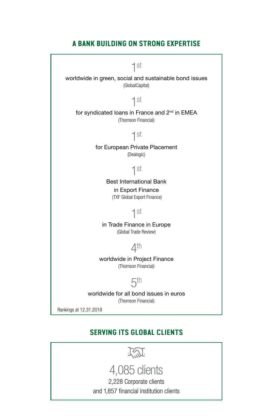#### **A BANK BUILDING ON STRONG EXPERTISE**



#### **SERVING ITS GLOBAL CLIENTS**

<u>TM</u>

# 4,085 clients

2,228 Corporate clients

and 1,857 financial institution clients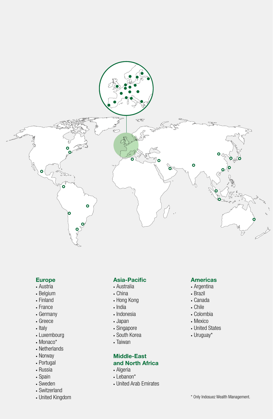

#### **Europe**

- Austria
- Belgium
- Finland
- France
- Germany
- Greece
- Italy
- Luxembourg
- Monaco\*
- Netherlands
- Norway
- Portugal
- Russia
- Spain
- Sweden
- Switzerland
- United Kingdom

#### **Asia-Pacific**

- Australia
- China
- Hong Kong
- India
- Indonesia
- Japan
- Singapore
- South Korea
- Taiwan

#### **Middle-East and North Africa**

- Algeria
- Lebanon\*
- United Arab Emirates

#### **Americas**

- Argentina
- Brazil
- Canada
- Chile
- Colombia
- Mexico
- United States
- Uruguay\*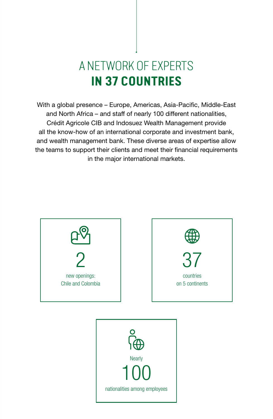# A NETWORK OF EXPERTS **IN 37 COUNTRIES**

With a global presence – Europe, Americas, Asia-Pacific, Middle-East and North Africa – and staff of nearly 100 different nationalities, Crédit Agricole CIB and Indosuez Wealth Management provide all the know-how of an international corporate and investment bank, and wealth management bank. These diverse areas of expertise allow the teams to support their clients and meet their financial requirements in the major international markets.



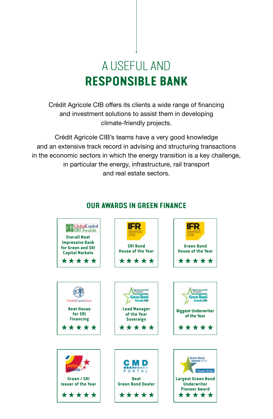# A USEFUL AND **RESPONSIBLE BANK**

Crédit Agricole CIB offers its clients a wide range of financing and investment solutions to assist them in developing climate-friendly projects.

Crédit Agricole CIB's teams have a very good knowledge and an extensive track record in advising and structuring transactions in the economic sectors in which the energy transition is a key challenge, in particular the energy, infrastructure, rail transport and real estate sectors.



#### **OUR AWARDS IN GREEN FINANCE**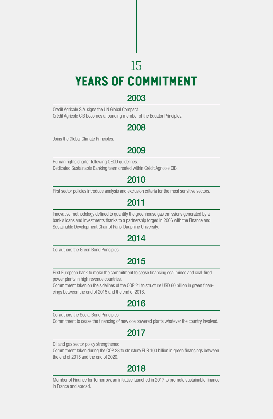# 15 **YEARS OF COMMITMENT**

## 2003

Crédit Agricole S.A. signs the UN Global Compact. Crédit Agricole CIB becomes a founding member of the Equator Principles.

## 2008

Joins the Global Climate Principles.

# 2009

Human rights charter following OECD guidelines. Dedicated Sustainable Banking team created within Crédit Agricole CIB.

# 2010

First sector policies introduce analysis and exclusion criteria for the most sensitive sectors.

### 2011

Innovative methodology defined to quantify the greenhouse gas emissions generated by a bank's loans and investments thanks to a partnership forged in 2006 with the Finance and Sustainable Development Chair of Paris-Dauphine University.

# 2014

Co-authors the Green Bond Principles.

## 2015

First European bank to make the commitment to cease financing coal mines and coal-fired power plants in high revenue countries.

Commitment taken on the sidelines of the COP 21 to structure USD 60 billion in green financings between the end of 2015 and the end of 2018.

## 2016

Co-authors the Social Bond Principles.

Commitment to cease the financing of new coalpowered plants whatever the country involved.

# 2017

Oil and gas sector policy strengthened.

Commitment taken during the COP 23 to structure EUR 100 billion in green financings between the end of 2015 and the end of 2020.

## 2018

Member of Finance for Tomorrow, an initiative launched in 2017 to promote sustainable finance in France and abroad.